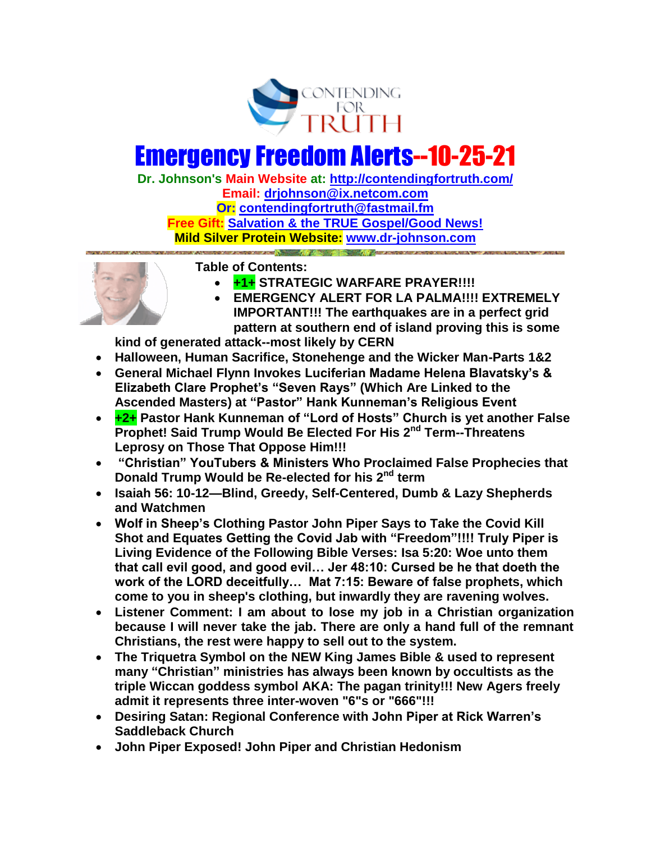

# Emergency Freedom Alerts--10-25-21

**Dr. Johnson's Main Website at:<http://contendingfortruth.com/> Email: [drjohnson@ix.netcom.com](mailto:drjohnson@ix.netcom.com) Or: [contendingfortruth@fastmail.fm](mailto:contendingfortruth@fastmail.fm) Free Gift: [Salvation & the TRUE Gospel/Good News!](http://www.contendingfortruth.com/true-salvation/) Mild Silver Protein Website: [www.dr-johnson.com](http://www.dr-johnson.com/)**



**Table of Contents:** 

- **+1+ STRATEGIC WARFARE PRAYER!!!!**
- **EMERGENCY ALERT FOR LA PALMA!!!! EXTREMELY IMPORTANT!!! The earthquakes are in a perfect grid pattern at southern end of island proving this is some**

**kind of generated attack--most likely by CERN**

- **Halloween, Human Sacrifice, Stonehenge and the Wicker Man-Parts 1&2**
- **General Michael Flynn Invokes Luciferian Madame Helena Blavatsky's & Elizabeth Clare Prophet's "Seven Rays" (Which Are Linked to the Ascended Masters) at "Pastor" Hank Kunneman's Religious Event**
- **+2+ Pastor Hank Kunneman of "Lord of Hosts" Church is yet another False Prophet! Said Trump Would Be Elected For His 2nd Term--Threatens Leprosy on Those That Oppose Him!!!**
- **"Christian" YouTubers & Ministers Who Proclaimed False Prophecies that Donald Trump Would be Re-elected for his 2nd term**
- **Isaiah 56: 10-12—Blind, Greedy, Self-Centered, Dumb & Lazy Shepherds and Watchmen**
- **Wolf in Sheep's Clothing Pastor John Piper Says to Take the Covid Kill Shot and Equates Getting the Covid Jab with "Freedom"!!!! Truly Piper is Living Evidence of the Following Bible Verses: Isa 5:20: Woe unto them that call evil good, and good evil… Jer 48:10: Cursed be he that doeth the work of the LORD deceitfully… Mat 7:15: Beware of false prophets, which come to you in sheep's clothing, but inwardly they are ravening wolves.**
- **Listener Comment: I am about to lose my job in a Christian organization because I will never take the jab. There are only a hand full of the remnant Christians, the rest were happy to sell out to the system.**
- **The Triquetra Symbol on the NEW King James Bible & used to represent many "Christian" ministries has always been known by occultists as the triple Wiccan goddess symbol AKA: The pagan trinity!!! New Agers freely admit it represents three inter-woven "6"s or "666"!!!**
- **Desiring Satan: Regional Conference with John Piper at Rick Warren's Saddleback Church**
- **John Piper Exposed! John Piper and Christian Hedonism**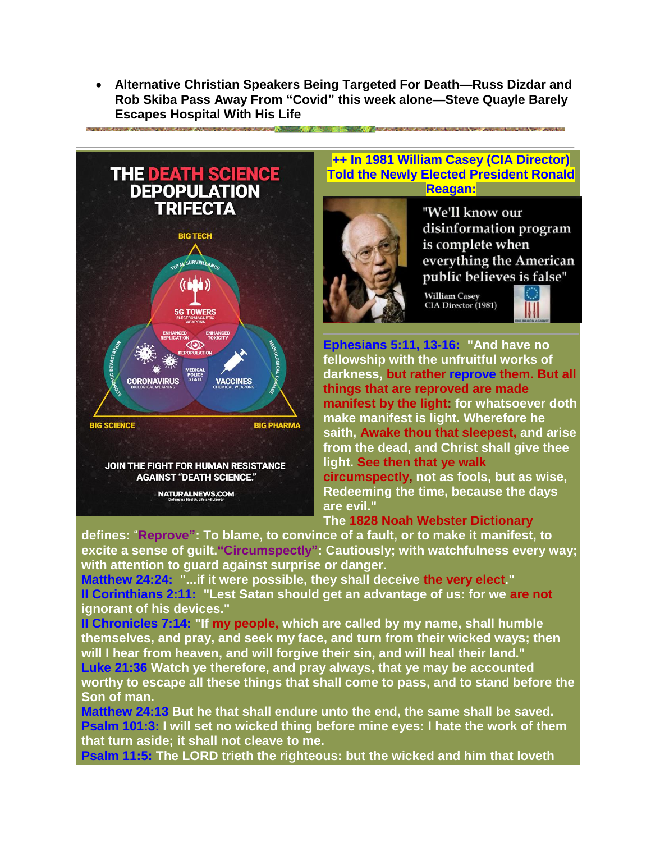**Alternative Christian Speakers Being Targeted For Death—Russ Dizdar and Rob Skiba Pass Away From "Covid" this week alone—Steve Quayle Barely Escapes Hospital With His Life**





#### **++ In 1981 William Casey (CIA Director) Told the Newly Elected President Ronald Reagan:**



"We'll know our disinformation program is complete when everything the American public believes is false"

**William Casey** CIA Director (1981)



**Ephesians 5:11, 13-16: "And have no fellowship with the unfruitful works of darkness, but rather reprove them. But all things that are reproved are made manifest by the light: for whatsoever doth make manifest is light. Wherefore he saith, Awake thou that sleepest, and arise from the dead, and Christ shall give thee light. See then that ye walk circumspectly, not as fools, but as wise, Redeeming the time, because the days are evil."** 

**The 1828 Noah Webster Dictionary**

**defines:** "**Reprove": To blame, to convince of a fault, or to make it manifest, to excite a sense of guilt."Circumspectly": Cautiously; with watchfulness every way; with attention to guard against surprise or danger.**

**Matthew 24:24: "...if it were possible, they shall deceive the very elect." II Corinthians 2:11: "Lest Satan should get an advantage of us: for we are not ignorant of his devices."** 

**II Chronicles 7:14: "If my people, which are called by my name, shall humble themselves, and pray, and seek my face, and turn from their wicked ways; then will I hear from heaven, and will forgive their sin, and will heal their land."**

**Luke 21:36 Watch ye therefore, and pray always, that ye may be accounted worthy to escape all these things that shall come to pass, and to stand before the Son of man.**

**Matthew 24:13 But he that shall endure unto the end, the same shall be saved. Psalm 101:3: I will set no wicked thing before mine eyes: I hate the work of them that turn aside; it shall not cleave to me.**

**Psalm 11:5: The LORD trieth the righteous: but the wicked and him that loveth**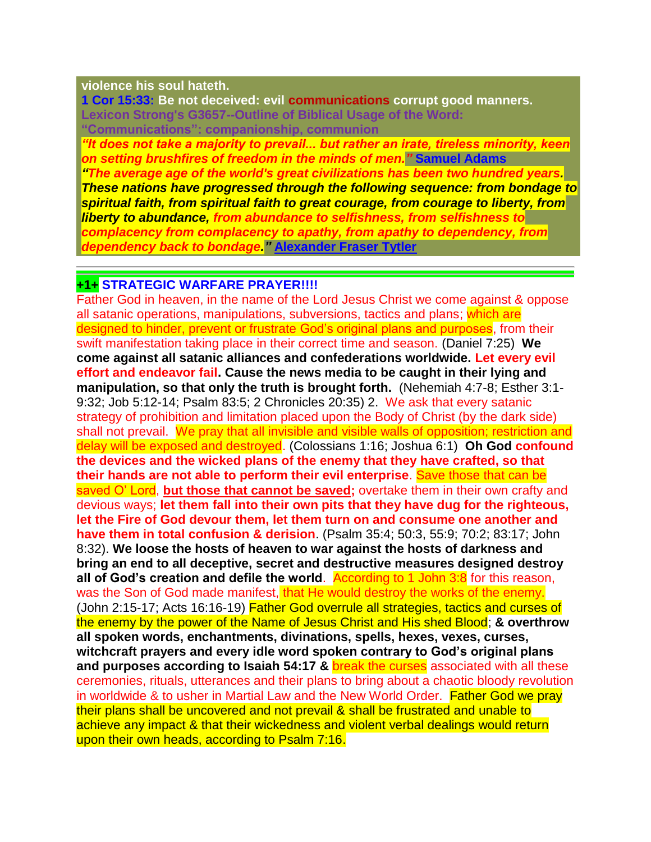#### **violence his soul hateth.**

**1 Cor 15:33: Be not deceived: evil communications corrupt good manners. Lexicon Strong's G3657--Outline of Biblical Usage of the Word: "Communications": companionship, communion**

*"It does not take a majority to prevail... but rather an irate, tireless minority, keen on setting brushfires of freedom in the minds of men."* **Samuel Adams** 

*"The average age of the world's great civilizations has been two hundred years. These nations have progressed through the following sequence: from bondage to spiritual faith, from spiritual faith to great courage, from courage to liberty, from liberty to abundance, from abundance to selfishness, from selfishness to complacency from complacency to apathy, from apathy to dependency, from dependency back to bondage."* **[Alexander Fraser Tytler](https://www.azquotes.com/author/20531-Alexander_Fraser_Tytler)**

#### **+1+ STRATEGIC WARFARE PRAYER!!!!**

Father God in heaven, in the name of the Lord Jesus Christ we come against & oppose all satanic operations, manipulations, subversions, tactics and plans; which are designed to hinder, prevent or frustrate God's original plans and purposes, from their swift manifestation taking place in their correct time and season. (Daniel 7:25) **We come against all satanic alliances and confederations worldwide. Let every evil effort and endeavor fail. Cause the news media to be caught in their lying and manipulation, so that only the truth is brought forth.** (Nehemiah 4:7-8; Esther 3:1- 9:32; Job 5:12-14; Psalm 83:5; 2 Chronicles 20:35) 2. We ask that every satanic strategy of prohibition and limitation placed upon the Body of Christ (by the dark side) shall not prevail. We pray that all invisible and visible walls of opposition; restriction and delay will be exposed and destroyed. (Colossians 1:16; Joshua 6:1) **Oh God confound the devices and the wicked plans of the enemy that they have crafted, so that their hands are not able to perform their evil enterprise**. Save those that can be saved O' Lord, **but those that cannot be saved;** overtake them in their own crafty and devious ways; **let them fall into their own pits that they have dug for the righteous, let the Fire of God devour them, let them turn on and consume one another and have them in total confusion & derision**. (Psalm 35:4; 50:3, 55:9; 70:2; 83:17; John 8:32). **We loose the hosts of heaven to war against the hosts of darkness and bring an end to all deceptive, secret and destructive measures designed destroy all of God's creation and defile the world.** According to 1 John 3:8 for this reason, was the Son of God made manifest, that He would destroy the works of the enemy. (John 2:15-17; Acts 16:16-19) Father God overrule all strategies, tactics and curses of the enemy by the power of the Name of Jesus Christ and His shed Blood; **& overthrow all spoken words, enchantments, divinations, spells, hexes, vexes, curses, witchcraft prayers and every idle word spoken contrary to God's original plans and purposes according to Isaiah 54:17 &** break the curses associated with all these ceremonies, rituals, utterances and their plans to bring about a chaotic bloody revolution in worldwide & to usher in Martial Law and the New World Order. Father God we pray their plans shall be uncovered and not prevail & shall be frustrated and unable to achieve any impact & that their wickedness and violent verbal dealings would return upon their own heads, according to Psalm 7:16.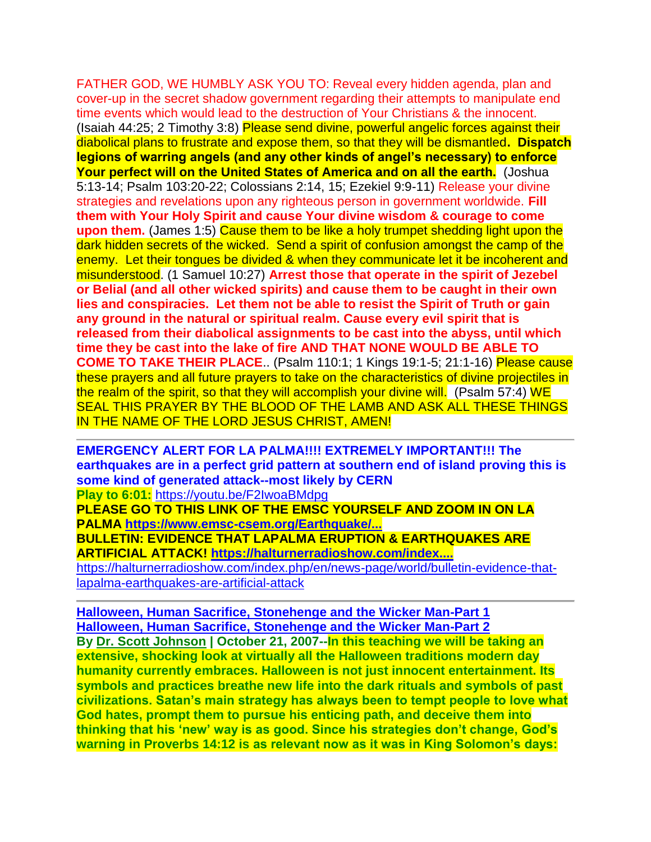FATHER GOD, WE HUMBLY ASK YOU TO: Reveal every hidden agenda, plan and cover-up in the secret shadow government regarding their attempts to manipulate end time events which would lead to the destruction of Your Christians & the innocent. (Isaiah 44:25; 2 Timothy 3:8) Please send divine, powerful angelic forces against their diabolical plans to frustrate and expose them, so that they will be dismantled**. Dispatch legions of warring angels (and any other kinds of angel's necessary) to enforce Your perfect will on the United States of America and on all the earth.** (Joshua 5:13-14; Psalm 103:20-22; Colossians 2:14, 15; Ezekiel 9:9-11) Release your divine strategies and revelations upon any righteous person in government worldwide. **Fill them with Your Holy Spirit and cause Your divine wisdom & courage to come upon them.** (James 1:5) Cause them to be like a holy trumpet shedding light upon the dark hidden secrets of the wicked. Send a spirit of confusion amongst the camp of the enemy. Let their tongues be divided & when they communicate let it be incoherent and misunderstood. (1 Samuel 10:27) **Arrest those that operate in the spirit of Jezebel or Belial (and all other wicked spirits) and cause them to be caught in their own lies and conspiracies. Let them not be able to resist the Spirit of Truth or gain any ground in the natural or spiritual realm. Cause every evil spirit that is released from their diabolical assignments to be cast into the abyss, until which time they be cast into the lake of fire AND THAT NONE WOULD BE ABLE TO COME TO TAKE THEIR PLACE**.. (Psalm 110:1; 1 Kings 19:1-5; 21:1-16) Please cause these prayers and all future prayers to take on the characteristics of divine projectiles in the realm of the spirit, so that they will accomplish your divine will. (Psalm 57:4) WE SEAL THIS PRAYER BY THE BLOOD OF THE LAMB AND ASK ALL THESE THINGS IN THE NAME OF THE LORD JESUS CHRIST, AMEN!

**EMERGENCY ALERT FOR LA PALMA!!!! EXTREMELY IMPORTANT!!! The earthquakes are in a perfect grid pattern at southern end of island proving this is some kind of generated attack--most likely by CERN Play to 6:01:** <https://youtu.be/F2IwoaBMdpg>

**PLEASE GO TO THIS LINK OF THE EMSC YOURSELF AND ZOOM IN ON LA PALMA [https://www.emsc-csem.org/Earthquake/...](https://www.youtube.com/redirect?event=video_description&redir_token=QUFFLUhqa2lTejMwWjJzYUlYN2NXWTM3QXQ0VDhfWE1yUXxBQ3Jtc0ttT2FXZldkbjZnSFVYSXg2U2VjOFNPUlpiTmdlZXRSSUNhUW4xdm9JZlYxX1JxRm9xa3p5MG4wc1FYeXZ3TlVXUkRCWUkxQ3RkZ1dmMEhHUDlyc29ERFJJTFNRc0c0cUFTYWlUZFJycUhBM0NsSHVHbw&q=https%3A%2F%2Fwww.emsc-csem.org%2FEarthquake%2FMap%2Fgmap.php)**

**BULLETIN: EVIDENCE THAT LAPALMA ERUPTION & EARTHQUAKES ARE ARTIFICIAL ATTACK! [https://halturnerradioshow.com/index....](https://www.youtube.com/redirect?event=video_description&redir_token=QUFFLUhqbDlBSWpyZm1CTmxYRzNDOHJ1T0tRdFM2LW02d3xBQ3Jtc0tudWxQQ19QU3U3YWUyUU9wZzZ4VVhha3A3MWg1SlU2TExsMFctY1FiWVFfYkk2NVg3bHpSRkJVc3g0U2FVXzZhOC0wSzl2ZmlDdWlGZlU2Y1hTajhzSEUtbGpyMWgzMTVLUkthWFlVX0NRVVlnNWx3cw&q=https%3A%2F%2Fhalturnerradioshow.com%2Findex.php%2Fen%2Fnews-page%2Fworld%2Fbulletin-evidence-that-lapalma-earthquakes-are-artificial-attack)**

[https://halturnerradioshow.com/index.php/en/news-page/world/bulletin-evidence-that](https://halturnerradioshow.com/index.php/en/news-page/world/bulletin-evidence-that-lapalma-earthquakes-are-artificial-attack)[lapalma-earthquakes-are-artificial-attack](https://halturnerradioshow.com/index.php/en/news-page/world/bulletin-evidence-that-lapalma-earthquakes-are-artificial-attack)

**[Halloween, Human Sacrifice, Stonehenge and the Wicker Man-Part 1](https://www.contendingfortruth.com/halloween-human-sacrifice-stonehenge-and-the-wicker-man/) [Halloween, Human Sacrifice, Stonehenge and the Wicker Man-Part 2](https://www.contendingfortruth.com/halloween-human-sacrifice-stonehenge-and-the-wicker-man-part-2/)**

**By [Dr. Scott Johnson](https://www.contendingfortruth.com/author/dr-scott-johnson/) | October 21, 2007--In this teaching we will be taking an extensive, shocking look at virtually all the Halloween traditions modern day humanity currently embraces. Halloween is not just innocent entertainment. Its symbols and practices breathe new life into the dark rituals and symbols of past civilizations. Satan's main strategy has always been to tempt people to love what God hates, prompt them to pursue his enticing path, and deceive them into thinking that his 'new' way is as good. Since his strategies don't change, God's warning in Proverbs 14:12 is as relevant now as it was in King Solomon's days:**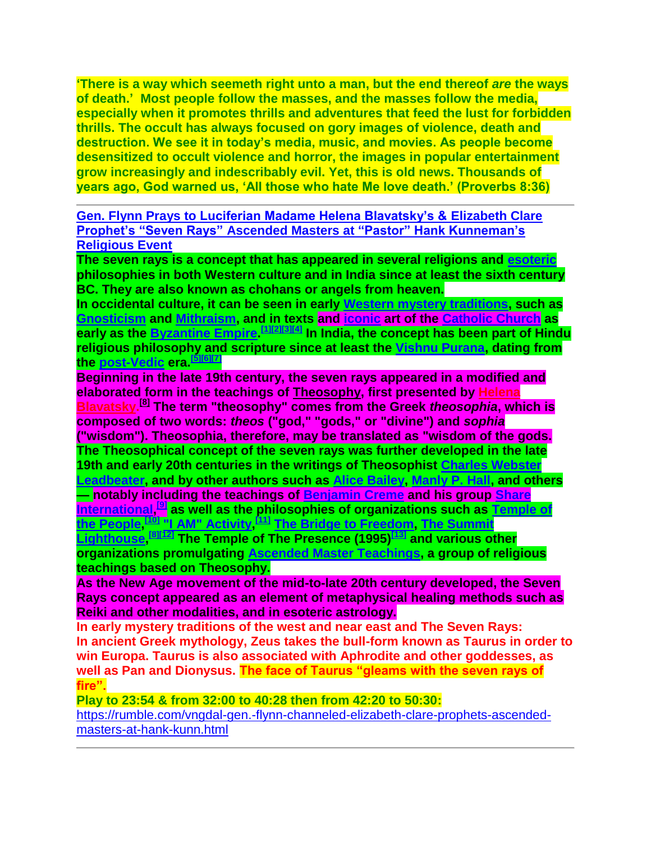**'There is a way which seemeth right unto a man, but the end thereof** *are* **the ways of death.' Most people follow the masses, and the masses follow the media, especially when it promotes thrills and adventures that feed the lust for forbidden thrills. The occult has always focused on gory images of violence, death and destruction. We see it in today's media, music, and movies. As people become desensitized to occult violence and horror, the images in popular entertainment grow increasingly and indescribably evil. Yet, this is old news. Thousands of years ago, God warned us, 'All those who hate Me love death.' (Proverbs 8:36)**

**Gen. Flynn Prays to [Luciferian Madame Helena Blavatsky's & Elizabeth Clare](https://rumble.com/vngdal-gen.-flynn-channeled-elizabeth-clare-prophets-ascended-masters-at-hank-kunn.html?fbclid=IwAR1LhSE3sEz7UvIfaTiXBo5qMRthH34uGBslpatqwychs1MF8nelPL70IPc)  [Prophet's "Seven Rays" Ascended Masters at "Pastor" Hank Kunneman's](https://rumble.com/vngdal-gen.-flynn-channeled-elizabeth-clare-prophets-ascended-masters-at-hank-kunn.html?fbclid=IwAR1LhSE3sEz7UvIfaTiXBo5qMRthH34uGBslpatqwychs1MF8nelPL70IPc)  [Religious Event](https://rumble.com/vngdal-gen.-flynn-channeled-elizabeth-clare-prophets-ascended-masters-at-hank-kunn.html?fbclid=IwAR1LhSE3sEz7UvIfaTiXBo5qMRthH34uGBslpatqwychs1MF8nelPL70IPc)**

**The seven rays is a concept that has appeared in several religions and [esoteric](https://en.wikipedia.org/wiki/Esoteric) philosophies in both Western culture and in India since at least the sixth century BC. They are also known as chohans or angels from heaven.**

**In occidental culture, it can be seen in early [Western mystery traditions,](https://en.wikipedia.org/wiki/Western_mystery_tradition) such as [Gnosticism](https://en.wikipedia.org/wiki/Gnosticism) and [Mithraism,](https://en.wikipedia.org/wiki/Mithraism) and in texts and [iconic](https://en.wikipedia.org/wiki/Icon) art of the [Catholic Church](https://en.wikipedia.org/wiki/Catholic_Church) as early as the [Byzantine Empire.](https://en.wikipedia.org/wiki/Byzantine_Empire) [\[1\]\[2\]](https://en.wikipedia.org/wiki/Seven_rays#cite_note-Walker-1)[\[3\]\[4\]](https://en.wikipedia.org/wiki/Seven_rays#cite_note-Joseph-3) In India, the concept has been part of Hindu religious philosophy and scripture since at least the [Vishnu Purana,](https://en.wikipedia.org/wiki/Vishnu_Purana) dating from the [post-Vedic](https://en.wikipedia.org/wiki/Vedas) era.[\[5\]\[6\]](https://en.wikipedia.org/wiki/Seven_rays#cite_note-Colebrooke-5)[\[7\]](https://en.wikipedia.org/wiki/Seven_rays#cite_note-Aurobindo-7)**

**Beginning in the late 19th century, the seven rays appeared in a modified and elaborated form in the teachings of [Theosophy,](https://en.wikipedia.org/wiki/Theosophy_(Blavatskian)) first presented by [Helena](https://en.wikipedia.org/wiki/Helena_Blavatsky)  [Blavatsky.](https://en.wikipedia.org/wiki/Helena_Blavatsky) [\[8\]](https://en.wikipedia.org/wiki/Seven_rays#cite_note-long-8) The term "theosophy" comes from the Greek** *theosophia***, which is composed of two words:** *theos* **("god," "gods," or "divine") and** *sophia* **("wisdom"). Theosophia, therefore, may be translated as "wisdom of the gods. The Theosophical concept of the seven rays was further developed in the late 19th and early 20th centuries in the writings of Theosophist [Charles Webster](https://en.wikipedia.org/wiki/Charles_Webster_Leadbeater)  [Leadbeater,](https://en.wikipedia.org/wiki/Charles_Webster_Leadbeater) and by other authors such as [Alice Bailey,](https://en.wikipedia.org/wiki/Alice_Bailey) [Manly P. Hall,](https://en.wikipedia.org/wiki/Manly_P._Hall) and others — notably including the teachings of [Benjamin Creme](https://en.wikipedia.org/wiki/Benjamin_Creme) and his group [Share](https://en.wikipedia.org/wiki/Share_International)  [International,](https://en.wikipedia.org/wiki/Share_International) [\[9\]](https://en.wikipedia.org/wiki/Seven_rays#cite_note-9) as well as the philosophies of organizations such as [Temple of](https://en.wikipedia.org/wiki/Temple_of_the_People)  [the People,](https://en.wikipedia.org/wiki/Temple_of_the_People) [\[10\]](https://en.wikipedia.org/wiki/Seven_rays#cite_note-10) ["I AM" Activity,](https://en.wikipedia.org/wiki/%22I_AM%22_Activity) [\[11\]](https://en.wikipedia.org/wiki/Seven_rays#cite_note-11) [The Bridge to Freedom,](https://en.wikipedia.org/wiki/The_Bridge_to_Freedom) [The Summit](https://en.wikipedia.org/wiki/The_Summit_Lighthouse)  [Lighthouse,](https://en.wikipedia.org/wiki/The_Summit_Lighthouse) [\[8\]\[12\]](https://en.wikipedia.org/wiki/Seven_rays#cite_note-long-8) The Temple of The Presence (1995)[\[13\]](https://en.wikipedia.org/wiki/Seven_rays#cite_note-13) and various other organizations promulgating [Ascended Master Teachings,](https://en.wikipedia.org/wiki/Ascended_Master_Teachings) a group of religious teachings based on Theosophy.**

**As the New Age movement of the mid-to-late 20th century developed, the Seven Rays concept appeared as an element of metaphysical healing methods such as Reiki and other modalities, and in esoteric astrology.**

**In early mystery traditions of the west and near east and The Seven Rays: In ancient Greek mythology, Zeus takes the bull-form known as Taurus in order to win Europa. Taurus is also associated with Aphrodite and other goddesses, as well as Pan and Dionysus. The face of Taurus "gleams with the seven rays of fire".**

**Play to 23:54 & from 32:00 to 40:28 then from 42:20 to 50:30:**

[https://rumble.com/vngdal-gen.-flynn-channeled-elizabeth-clare-prophets-ascended](https://rumble.com/vngdal-gen.-flynn-channeled-elizabeth-clare-prophets-ascended-masters-at-hank-kunn.html)[masters-at-hank-kunn.html](https://rumble.com/vngdal-gen.-flynn-channeled-elizabeth-clare-prophets-ascended-masters-at-hank-kunn.html)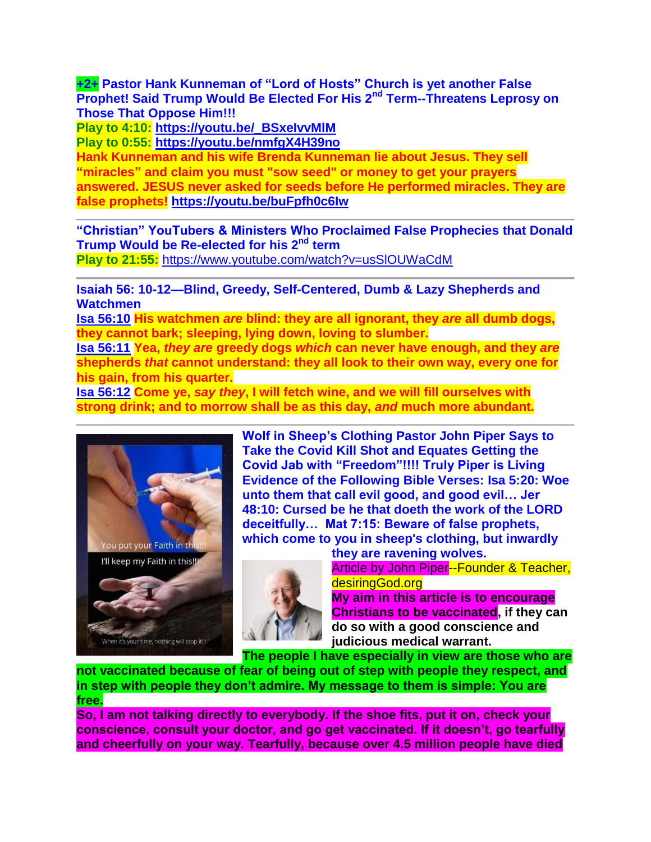**+2+ Pastor Hank Kunneman of "Lord of Hosts" Church is yet another False Prophet! Said Trump Would Be Elected For His 2nd Term--Threatens Leprosy on Those That Oppose Him!!!**

**Play to 4:10: [https://youtu.be/\\_BSxeIvvMlM](https://youtu.be/_BSxeIvvMlM)**

**Play to 0:55: <https://youtu.be/nmfgX4H39no>**

**Hank Kunneman and his wife Brenda Kunneman lie about Jesus. They sell "miracles" and claim you must "sow seed" or money to get your prayers answered. JESUS never asked for seeds before He performed miracles. They are false prophets! <https://youtu.be/buFpfh0c6Iw>**

**"Christian" YouTubers & Ministers Who Proclaimed False Prophecies that Donald Trump Would be Re-elected for his 2nd term**

**Play to 21:55:** <https://www.youtube.com/watch?v=usSlOUWaCdM>

**Isaiah 56: 10-12—Blind, Greedy, Self-Centered, Dumb & Lazy Shepherds and Watchmen**

**[Isa 56:10](https://www.blueletterbible.org/kjv/isa/56/10/s_735010) His watchmen** *are* **blind: they are all ignorant, they** *are* **all dumb dogs, they cannot bark; sleeping, lying down, loving to slumber.**

**[Isa 56:11](https://www.blueletterbible.org/kjv/isa/56/11/s_735011) Yea,** *they are* **greedy dogs** *which* **can never have enough, and they** *are* **shepherds** *that* **cannot understand: they all look to their own way, every one for his gain, from his quarter.**

**[Isa 56:12](https://www.blueletterbible.org/kjv/isa/56/12/s_735012) Come ye,** *say they***, I will fetch wine, and we will fill ourselves with strong drink; and to morrow shall be as this day,** *and* **much more abundant.**



**Wolf in Sheep's Clothing Pastor John Piper Says to Take the Covid Kill Shot and Equates Getting the Covid Jab with "Freedom"!!!! Truly Piper is Living Evidence of the Following Bible Verses: Isa 5:20: Woe unto them that call evil good, and good evil… Jer 48:10: Cursed be he that doeth the work of the LORD deceitfully… Mat 7:15: Beware of false prophets, which come to you in sheep's clothing, but inwardly** 



**they are ravening wolves.** Article by John Piper--Founder & Teacher,

desiringGod.org

**My aim in this article is to encourage Christians to be vaccinated, if they can do so with a good conscience and judicious medical warrant.**

**The people I have especially in view are those who are** 

**not vaccinated because of fear of being out of step with people they respect, and in step with people they don't admire. My message to them is simple: You are free.**

**So, I am not talking directly to everybody. If the shoe fits, put it on, check your conscience, consult your doctor, and go get vaccinated. If it doesn't, go tearfully and cheerfully on your way. Tearfully, because over 4.5 million people have died**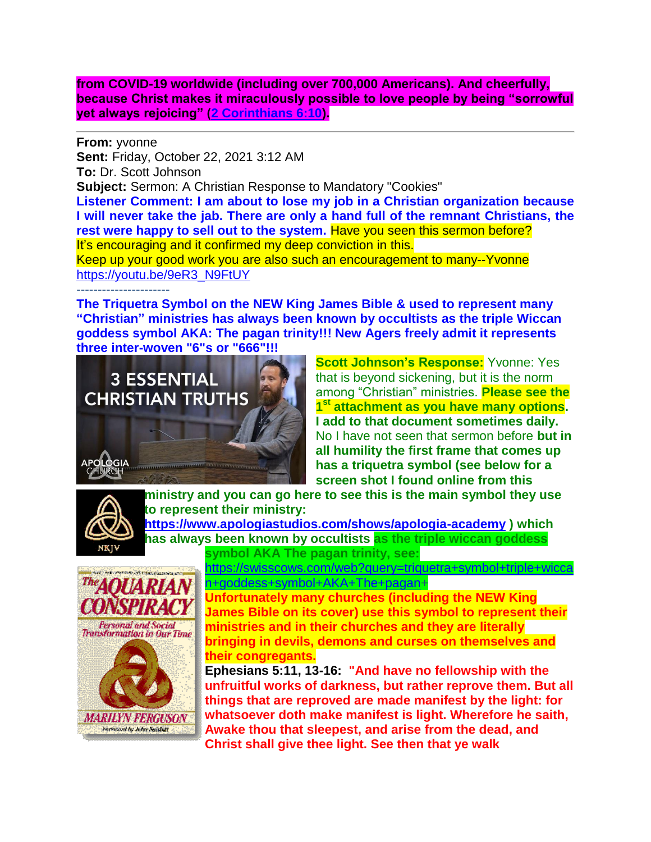**from COVID-19 worldwide (including over 700,000 Americans). And cheerfully, because Christ makes it miraculously possible to love people by being "sorrowful yet always rejoicing" [\(2 Corinthians 6:10\)](https://biblia.com/bible/esv/2%20Cor%206.10).**

**From:** yvonne **Sent:** Friday, October 22, 2021 3:12 AM **To:** Dr. Scott Johnson **Subject:** Sermon: A Christian Response to Mandatory "Cookies" **Listener Comment: I am about to lose my job in a Christian organization because I will never take the jab. There are only a hand full of the remnant Christians, the rest were happy to sell out to the system.** Have you seen this sermon before? It's encouraging and it confirmed my deep conviction in this. Keep up your good work you are also such an encouragement to many--Yvonne [https://youtu.be/9eR3\\_N9FtUY](https://youtu.be/9eR3_N9FtUY) ----------------------

**The Triquetra Symbol on the NEW King James Bible & used to represent many "Christian" ministries has always been known by occultists as the triple Wiccan goddess symbol AKA: The pagan trinity!!! New Agers freely admit it represents three inter-woven "6"s or "666"!!!**



**Scott Johnson's Response:** Yvonne: Yes that is beyond sickening, but it is the norm among "Christian" ministries. **Please see the 1 st attachment as you have many options. I add to that document sometimes daily.**  No I have not seen that sermon before **but in all humility the first frame that comes up has a triquetra symbol (see below for a screen shot I found online from this** 



**ministry and you can go here to see this is the main symbol they use to represent their ministry: <https://www.apologiastudios.com/shows/apologia-academy> ) which** 

**has always been known by occultists as the triple wiccan goddess symbol AKA The pagan trinity, see:** 



[https://swisscows.com/web?query=triquetra+symbol+triple+wicca](https://swisscows.com/web?query=triquetra+symbol+triple+wiccan+goddess+symbol+AKA+The+pagan) [n+goddess+symbol+AKA+The+pagan+](https://swisscows.com/web?query=triquetra+symbol+triple+wiccan+goddess+symbol+AKA+The+pagan)

**Unfortunately many churches (including the NEW King James Bible on its cover) use this symbol to represent their ministries and in their churches and they are literally bringing in devils, demons and curses on themselves and their congregants.**

**Ephesians 5:11, 13-16: "And have no fellowship with the unfruitful works of darkness, but rather reprove them. But all things that are reproved are made manifest by the light: for whatsoever doth make manifest is light. Wherefore he saith, Awake thou that sleepest, and arise from the dead, and Christ shall give thee light. See then that ye walk**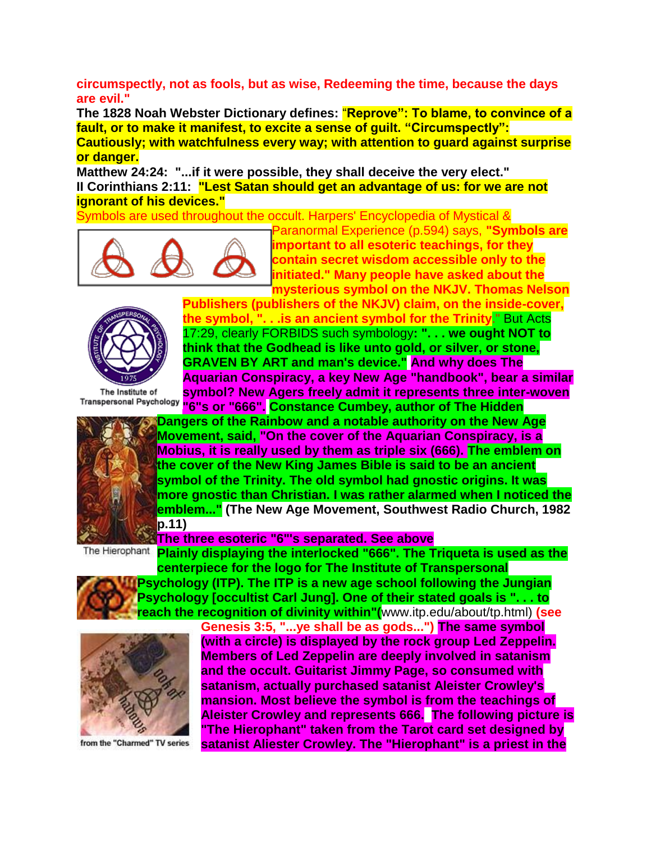**circumspectly, not as fools, but as wise, Redeeming the time, because the days are evil."** 

**The 1828 Noah Webster Dictionary defines:** "**Reprove": To blame, to convince of a fault, or to make it manifest, to excite a sense of guilt. "Circumspectly": Cautiously; with watchfulness every way; with attention to guard against surprise or danger.**

**Matthew 24:24: "...if it were possible, they shall deceive the very elect." II Corinthians 2:11: "Lest Satan should get an advantage of us: for we are not ignorant of his devices."**

Symbols are used throughout the occult. Harpers' Encyclopedia of Mystical &



Paranormal Experience (p.594) says, **"Symbols are important to all esoteric teachings, for they contain secret wisdom accessible only to the initiated." Many people have asked about the mysterious symbol on the NKJV. Thomas Nelson** 



The Institute of

**Publishers (publishers of the NKJV) claim, on the inside-cover, the symbol, ". . .is an ancient symbol for the Trinity**." But Acts 17:29, clearly FORBIDS such symbology**: ". . . we ought NOT to think that the Godhead is like unto gold, or silver, or stone, GRAVEN BY ART and man's device." And why does The Aquarian Conspiracy, a key New Age "handbook", bear a similar symbol? New Agers freely admit it represents three inter-woven "6"s or "666". Constance Cumbey, author of The Hidden** 



**Dangers of the Rainbow and a notable authority on the New Age Movement, said, "On the cover of the Aquarian Conspiracy, is a Mobius, it is really used by them as triple six (666). The emblem on the cover of the New King James Bible is said to be an ancient symbol of the Trinity. The old symbol had gnostic origins. It was more gnostic than Christian. I was rather alarmed when I noticed the emblem..." (The New Age Movement, Southwest Radio Church, 1982 p.11)** 

# **The three esoteric "6"'s separated. See above**

The Hierophant **Plainly displaying the interlocked "666". The Triqueta is used as the centerpiece for the logo for The Institute of Transpersonal** 

**Psychology (ITP). The ITP is a new age school following the Jungian Psychology [occultist Carl Jung]. One of their stated goals is ". . . to reach the recognition of divinity within"(**www.itp.edu/about/tp.html) **(see** 



from the "Charmed" TV series

**Genesis 3:5, "...ye shall be as gods...") The same symbol (with a circle) is displayed by the rock group Led Zeppelin. Members of Led Zeppelin are deeply involved in satanism and the occult. Guitarist Jimmy Page, so consumed with satanism, actually purchased satanist Aleister Crowley's mansion. Most believe the symbol is from the teachings of Aleister Crowley and represents 666. The following picture is "The Hierophant" taken from the Tarot card set designed by satanist Aliester Crowley. The "Hierophant" is a priest in the**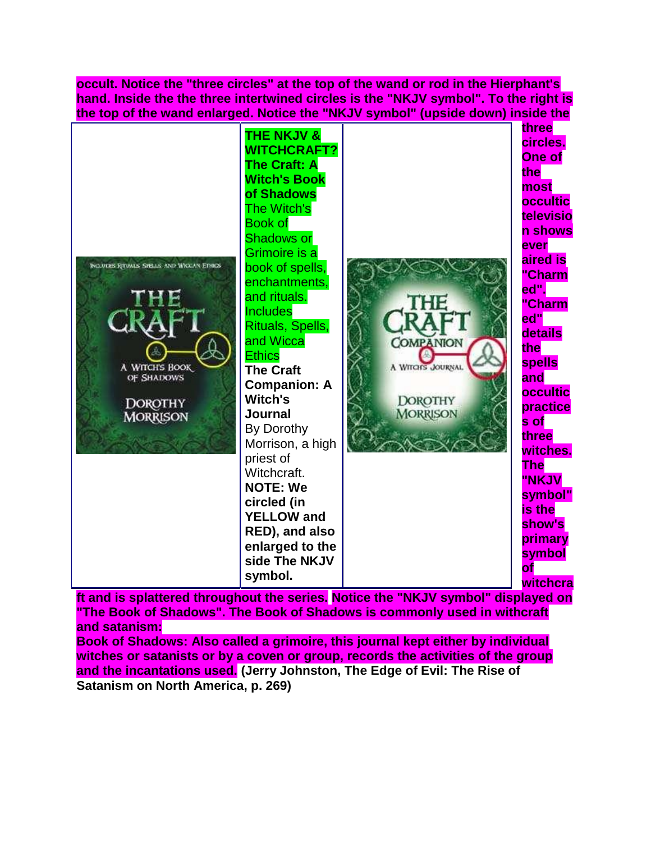**occult. Notice the "three circles" at the top of the wand or rod in the Hierphant's hand. Inside the the three intertwined circles is the "NKJV symbol". To the right is the top of the wand enlarged. Notice the "NKJV symbol" (upside down) inside the** 



**ft and is splattered throughout the series. Notice the "NKJV symbol" displayed on "The Book of Shadows". The Book of Shadows is commonly used in withcraft and satanism:** 

**Book of Shadows: Also called a grimoire, this journal kept either by individual witches or satanists or by a coven or group, records the activities of the group and the incantations used. (Jerry Johnston, The Edge of Evil: The Rise of Satanism on North America, p. 269)**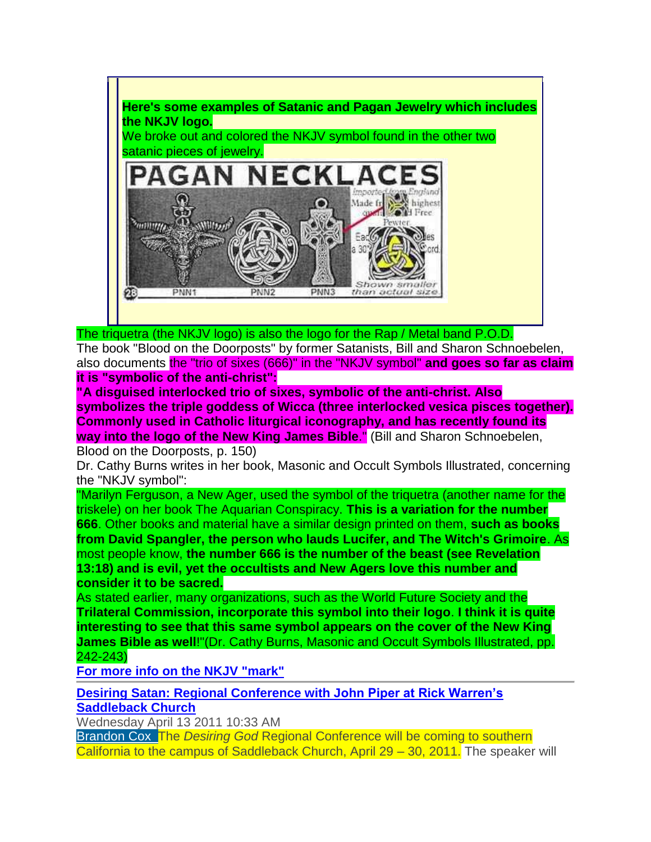

The triquetra (the NKJV logo) is also the logo for the Rap / Metal band P.O.D.

The book "Blood on the Doorposts" by former Satanists, Bill and Sharon Schnoebelen, also documents the "trio of sixes (666)" in the "NKJV symbol" **and goes so far as claim it is "symbolic of the anti-christ":**

**"A disguised interlocked trio of sixes, symbolic of the anti-christ. Also symbolizes the triple goddess of Wicca (three interlocked vesica pisces together). Commonly used in Catholic liturgical iconography, and has recently found its way into the logo of the New King James Bible**." (Bill and Sharon Schnoebelen,

Blood on the Doorposts, p. 150)

Dr. Cathy Burns writes in her book, Masonic and Occult Symbols Illustrated, concerning the "NKJV symbol":

"Marilyn Ferguson, a New Ager, used the symbol of the triquetra (another name for the triskele) on her book The Aquarian Conspiracy. **This is a variation for the number 666**. Other books and material have a similar design printed on them, **such as books from David Spangler, the person who lauds Lucifer, and The Witch's Grimoire**. As

most people know, **the number 666 is the number of the beast (see Revelation 13:18) and is evil, yet the occultists and New Agers love this number and consider it to be sacred.** 

As stated earlier, many organizations, such as the World Future Society and the **Trilateral Commission, incorporate this symbol into their logo**. **I think it is quite interesting to see that this same symbol appears on the cover of the New King James Bible as well**!"(Dr. Cathy Burns, Masonic and Occult Symbols Illustrated, pp. 242-243)

**[For more info on the NKJV "mark"](http://www.texemarrs.com/031997/mark.html)**

**Desiring Satan: Regional Conference with John Piper at Rick Warren's Saddleback Church**

Wednesday April 13 2011 10:33 AM

Brandon Cox The *Desiring God* Regional Conference will be coming to southern California to the campus of Saddleback Church, April 29 – 30, 2011. The speaker will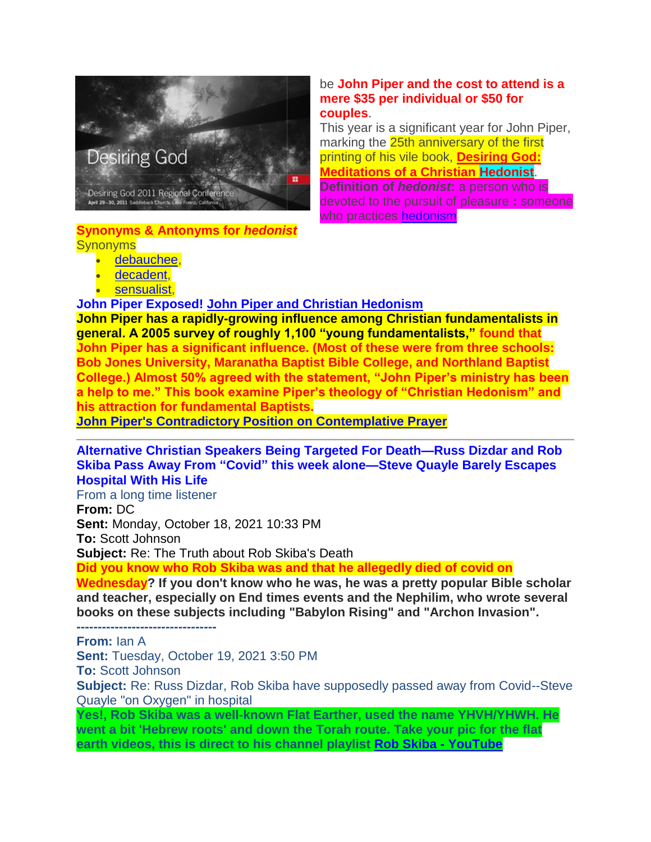

**Synonyms & Antonyms for** *hedonist* **Synonyms** 

- [debauchee,](https://www.merriam-webster.com/dictionary/debauchee)
- [decadent,](https://www.merriam-webster.com/dictionary/decadent)
- [sensualist,](https://www.merriam-webster.com/dictionary/sensualist)

## **John Piper Exposed! [John Piper and Christian Hedonism](https://www.wayoflife.org/free_ebooks/free_ebooks_by_name_files/john_piper_and_hedonism.php)**

**John Piper has a rapidly-growing influence among Christian fundamentalists in general. A 2005 survey of roughly 1,100 "young fundamentalists," found that John Piper has a significant influence. (Most of these were from three schools: Bob Jones University, Maranatha Baptist Bible College, and Northland Baptist College.) Almost 50% agreed with the statement, "John Piper's ministry has been a help to me." This book examine Piper's theology of "Christian Hedonism" and his attraction for fundamental Baptists.**

**[John Piper's Contradictory Position on Contemplative Prayer](https://www.wayoflife.org/reports/john%20_pipers_contradictory_position.html)**

## **Alternative Christian Speakers Being Targeted For Death—Russ Dizdar and Rob Skiba Pass Away From "Covid" this week alone—Steve Quayle Barely Escapes Hospital With His Life**

From a long time listener

**From:** DC **Sent:** Monday, October 18, 2021 10:33 PM **To:** Scott Johnson **Subject:** Re: The Truth about Rob Skiba's Death

**Did you know who Rob Skiba was and that he allegedly died of covid on** 

**Wednesday? If you don't know who he was, he was a pretty popular Bible scholar and teacher, especially on End times events and the Nephilim, who wrote several books on these subjects including "Babylon Rising" and "Archon Invasion".**

**From:** Ian A

**Sent:** Tuesday, October 19, 2021 3:50 PM

**To:** Scott Johnson

**---------------------------------**

**Subject:** Re: Russ Dizdar, Rob Skiba have supposedly passed away from Covid--Steve Quayle "on Oxygen" in hospital

**Yes!, Rob Skiba was a well-known Flat Earther, used the name YHVH/YHWH. He went a bit 'Hebrew roots' and down the Torah route. Take your pic for the flat earth videos, this is direct to his channel playlist [Rob Skiba -](https://www.youtube.com/c/RobSkiba/search?query=flat%20earth) YouTube**

## be **John Piper and the cost to attend is a mere \$35 per individual or \$50 for couples**.

This year is a significant year for John Piper, marking the 25th anniversary of the first printing of his vile book, **[Desiring God:](http://www.amazon.com/gp/product/1601423101/ref=as_li_ss_tl?ie=UTF8&tag=pastorsnotesc-20&linkCode=as2&camp=1789&creative=390957&creativeASIN=1601423101)  [Meditations of a Christian Hedonist](http://www.amazon.com/gp/product/1601423101/ref=as_li_ss_tl?ie=UTF8&tag=pastorsnotesc-20&linkCode=as2&camp=1789&creative=390957&creativeASIN=1601423101)**. **Definition of** *hedonist***:** a person who is devoted to the pursuit of pleasure **:** someone who practices [hedonism](https://www.merriam-webster.com/dictionary/hedonism)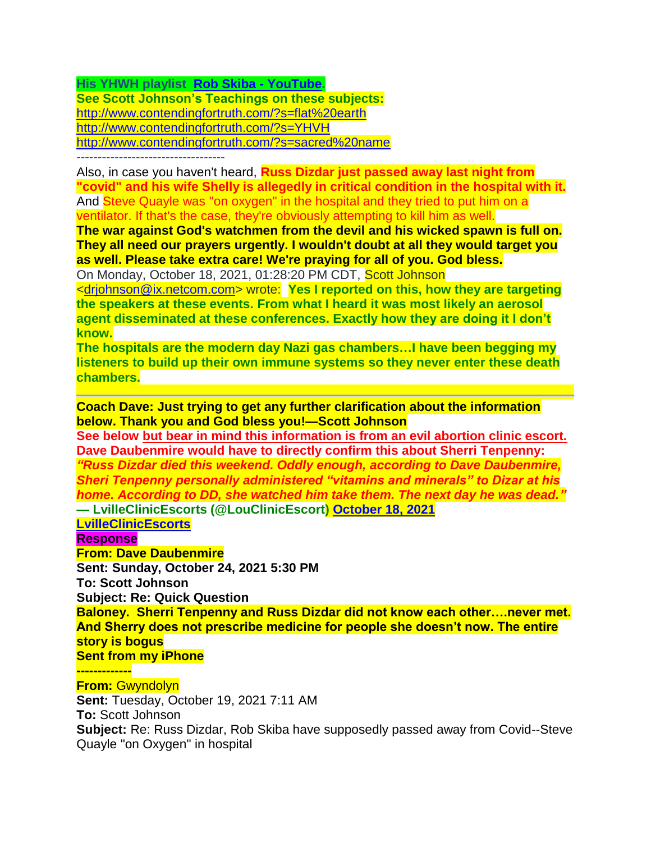**His YHWH playlist [Rob Skiba -](https://www.youtube.com/c/RobSkiba/search?query=yhwh) YouTube.**

**See Scott Johnson's Teachings on these subjects:** <http://www.contendingfortruth.com/?s=flat%20earth> <http://www.contendingfortruth.com/?s=YHVH> <http://www.contendingfortruth.com/?s=sacred%20name>

-----------------------------------

Also, in case you haven't heard, **Russ Dizdar just passed away last night from "covid" and his wife Shelly is allegedly in critical condition in the hospital with it.** And Steve Quayle was "on oxygen" in the hospital and they tried to put him on a ventilator. If that's the case, they're obviously attempting to kill him as well.

**The war against God's watchmen from the devil and his wicked spawn is full on. They all need our prayers urgently. I wouldn't doubt at all they would target you as well. Please take extra care! We're praying for all of you. God bless.**

On Monday, October 18, 2021, 01:28:20 PM CDT, Scott Johnson

[<drjohnson@ix.netcom.com>](mailto:drjohnson@ix.netcom.com) wrote: **Yes I reported on this, how they are targeting the speakers at these events. From what I heard it was most likely an aerosol agent disseminated at these conferences. Exactly how they are doing it I don't know.** 

**The hospitals are the modern day Nazi gas chambers…I have been begging my listeners to build up their own immune systems so they never enter these death chambers.** 

**Coach Dave: Just trying to get any further clarification about the information below. Thank you and God bless you!—Scott Johnson**

**See below but bear in mind this information is from an evil abortion clinic escort. Dave Daubenmire would have to directly confirm this about Sherri Tenpenny:** *"Russ Dizdar died this weekend. Oddly enough, according to Dave Daubenmire, Sheri Tenpenny personally administered "vitamins and minerals" to Dizar at his home. According to DD, she watched him take them. The next day he was dead."* **— LvilleClinicEscorts (@LouClinicEscort) [October 18, 2021](https://twitter.com/LouClinicEscort/status/1450103950745743369?ref_src=twsrc%5Etfw)**

**[LvilleClinicEscorts](https://twitter.com/LouClinicEscort)**

**Response**

**From: Dave Daubenmire**

**Sent: Sunday, October 24, 2021 5:30 PM**

**To: Scott Johnson**

**Subject: Re: Quick Question**

**Baloney. Sherri Tenpenny and Russ Dizdar did not know each other….never met. And Sherry does not prescribe medicine for people she doesn't now. The entire story is bogus**

**Sent from my iPhone**

**-------------**

# **From:** Gwyndolyn

**Sent:** Tuesday, October 19, 2021 7:11 AM **To:** Scott Johnson **Subject:** Re: Russ Dizdar, Rob Skiba have supposedly passed away from Covid--Steve Quayle "on Oxygen" in hospital